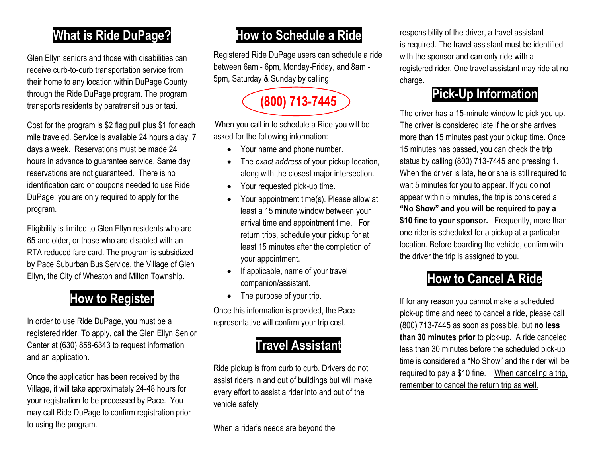## **What is Ride DuPage?**

Glen Ellyn seniors and those with disabilities can receive curb-to-curb transportation service from their home to any location within DuPage County through the Ride DuPage program. The program transports residents by paratransit bus or taxi.

Cost for the program is \$2 flag pull plus \$1 for each mile traveled. Service is available 24 hours a day, 7 days a week. Reservations must be made 24 hours in advance to guarantee service. Same day reservations are not guaranteed. There is no identification card or coupons needed to use Ride DuPage; you are only required to apply for the program.

Eligibility is limited to Glen Ellyn residents who are 65 and older, or those who are disabled with an RTA reduced fare card. The program is subsidized by Pace Suburban Bus Service, the Village of Glen Ellyn, the City of Wheaton and Milton Township.

## **How to Register**

In order to use Ride DuPage, you must be a registered rider. To apply, call the Glen Ellyn Senior Center at (630) 858-6343 to request information and an application.

Once the application has been received by the Village, it will take approximately 24-48 hours for your registration to be processed by Pace. You may call Ride DuPage to confirm registration prior to using the program.

#### **How to Schedule a Ride**

Registered Ride DuPage users can schedule a ride between 6am - 6pm, Monday-Friday, and 8am - 5pm, Saturday & Sunday by calling:

**(800) 713-7445**

When you call in to schedule a Ride you will be asked for the following information:

- Your name and phone number.
- The *exact address* of your pickup location, along with the closest major intersection.
- Your requested pick-up time.
- Your appointment time(s). Please allow at least a 15 minute window between your arrival time and appointment time. For return trips, schedule your pickup for at least 15 minutes after the completion of your appointment.
- If applicable, name of your travel companion/assistant.
- The purpose of your trip.

Once this information is provided, the Pace representative will confirm your trip cost.

## **Travel Assistant**

Ride pickup is from curb to curb. Drivers do not assist riders in and out of buildings but will make every effort to assist a rider into and out of the vehicle safely.

When a rider's needs are beyond the

responsibility of the driver, a travel assistant is required. The travel assistant must be identified with the sponsor and can only ride with a registered rider. One travel assistant may ride at no charge.

## **Pick-Up Information**

The driver has a 15-minute window to pick you up. The driver is considered late if he or she arrives more than 15 minutes past your pickup time. Once 15 minutes has passed, you can check the trip status by calling (800) 713-7445 and pressing 1. When the driver is late, he or she is still required to wait 5 minutes for you to appear. If you do not appear within 5 minutes, the trip is considered a **"No Show" and you will be required to pay a \$10 fine to your sponsor.** Frequently, more than one rider is scheduled for a pickup at a particular location. Before boarding the vehicle, confirm with the driver the trip is assigned to you.

## **How to Cancel A Ride**

If for any reason you cannot make a scheduled pick-up time and need to cancel a ride, please call (800) 713-7445 as soon as possible, but **no less than 30 minutes prior** to pick-up. A ride canceled less than 30 minutes before the scheduled pick-up time is considered a "No Show" and the rider will be required to pay a \$10 fine. When canceling a trip, remember to cancel the return trip as well.